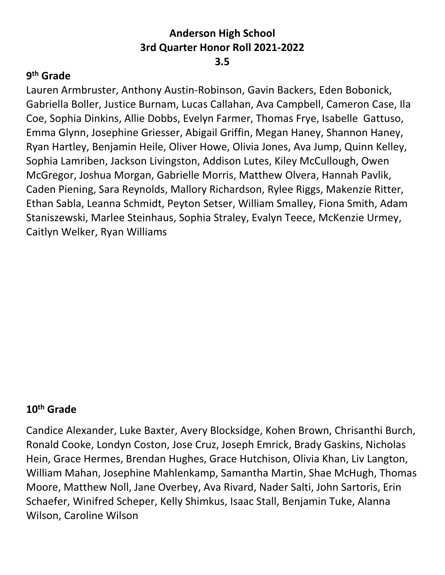## **9th Grade**

Lauren Armbruster, Anthony Austin-Robinson, Gavin Backers, Eden Bobonick, Gabriella Boller, Justice Burnam, Lucas Callahan, Ava Campbell, Cameron Case, Ila Coe, Sophia Dinkins, Allie Dobbs, Evelyn Farmer, Thomas Frye, Isabelle Gattuso, Emma Glynn, Josephine Griesser, Abigail Griffin, Megan Haney, Shannon Haney, Ryan Hartley, Benjamin Heile, Oliver Howe, Olivia Jones, Ava Jump, Quinn Kelley, Sophia Lamriben, Jackson Livingston, Addison Lutes, Kiley McCullough, Owen McGregor, Joshua Morgan, Gabrielle Morris, Matthew Olvera, Hannah Pavlik, Caden Piening, Sara Reynolds, Mallory Richardson, Rylee Riggs, Makenzie Ritter, Ethan Sabla, Leanna Schmidt, Peyton Setser, William Smalley, Fiona Smith, Adam Staniszewski, Marlee Steinhaus, Sophia Straley, Evalyn Teece, McKenzie Urmey, Caitlyn Welker, Ryan Williams

## **10th Grade**

Candice Alexander, Luke Baxter, Avery Blocksidge, Kohen Brown, Chrisanthi Burch, Ronald Cooke, Londyn Coston, Jose Cruz, Joseph Emrick, Brady Gaskins, Nicholas Hein, Grace Hermes, Brendan Hughes, Grace Hutchison, Olivia Khan, Liv Langton, William Mahan, Josephine Mahlenkamp, Samantha Martin, Shae McHugh, Thomas Moore, Matthew Noll, Jane Overbey, Ava Rivard, Nader Salti, John Sartoris, Erin Schaefer, Winifred Scheper, Kelly Shimkus, Isaac Stall, Benjamin Tuke, Alanna Wilson, Caroline Wilson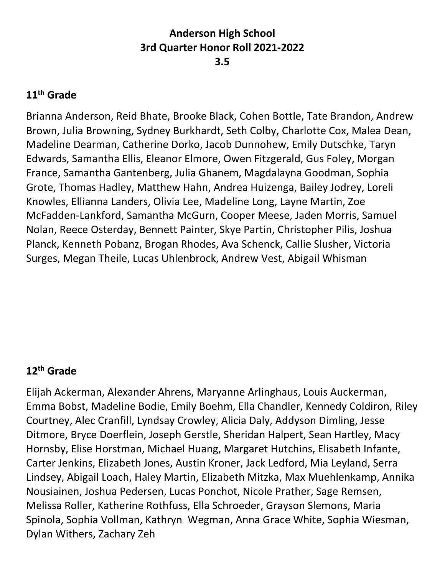## **11th Grade**

Brianna Anderson, Reid Bhate, Brooke Black, Cohen Bottle, Tate Brandon, Andrew Brown, Julia Browning, Sydney Burkhardt, Seth Colby, Charlotte Cox, Malea Dean, Madeline Dearman, Catherine Dorko, Jacob Dunnohew, Emily Dutschke, Taryn Edwards, Samantha Ellis, Eleanor Elmore, Owen Fitzgerald, Gus Foley, Morgan France, Samantha Gantenberg, Julia Ghanem, Magdalayna Goodman, Sophia Grote, Thomas Hadley, Matthew Hahn, Andrea Huizenga, Bailey Jodrey, Loreli Knowles, Ellianna Landers, Olivia Lee, Madeline Long, Layne Martin, Zoe McFadden-Lankford, Samantha McGurn, Cooper Meese, Jaden Morris, Samuel Nolan, Reece Osterday, Bennett Painter, Skye Partin, Christopher Pilis, Joshua Planck, Kenneth Pobanz, Brogan Rhodes, Ava Schenck, Callie Slusher, Victoria Surges, Megan Theile, Lucas Uhlenbrock, Andrew Vest, Abigail Whisman

## **12th Grade**

Elijah Ackerman, Alexander Ahrens, Maryanne Arlinghaus, Louis Auckerman, Emma Bobst, Madeline Bodie, Emily Boehm, Ella Chandler, Kennedy Coldiron, Riley Courtney, Alec Cranfill, Lyndsay Crowley, Alicia Daly, Addyson Dimling, Jesse Ditmore, Bryce Doerflein, Joseph Gerstle, Sheridan Halpert, Sean Hartley, Macy Hornsby, Elise Horstman, Michael Huang, Margaret Hutchins, Elisabeth Infante, Carter Jenkins, Elizabeth Jones, Austin Kroner, Jack Ledford, Mia Leyland, Serra Lindsey, Abigail Loach, Haley Martin, Elizabeth Mitzka, Max Muehlenkamp, Annika Nousiainen, Joshua Pedersen, Lucas Ponchot, Nicole Prather, Sage Remsen, Melissa Roller, Katherine Rothfuss, Ella Schroeder, Grayson Slemons, Maria Spinola, Sophia Vollman, Kathryn Wegman, Anna Grace White, Sophia Wiesman, Dylan Withers, Zachary Zeh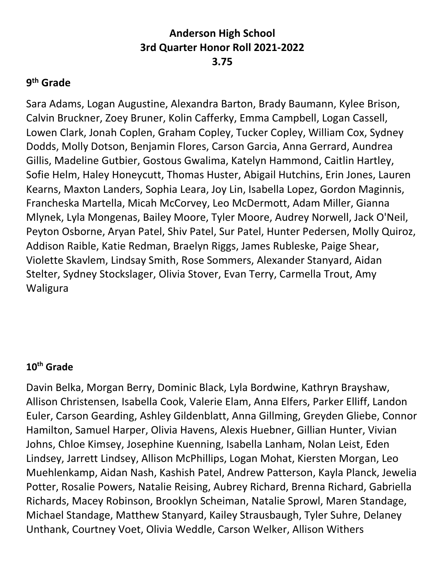## **9th Grade**

Sara Adams, Logan Augustine, Alexandra Barton, Brady Baumann, Kylee Brison, Calvin Bruckner, Zoey Bruner, Kolin Cafferky, Emma Campbell, Logan Cassell, Lowen Clark, Jonah Coplen, Graham Copley, Tucker Copley, William Cox, Sydney Dodds, Molly Dotson, Benjamin Flores, Carson Garcia, Anna Gerrard, Aundrea Gillis, Madeline Gutbier, Gostous Gwalima, Katelyn Hammond, Caitlin Hartley, Sofie Helm, Haley Honeycutt, Thomas Huster, Abigail Hutchins, Erin Jones, Lauren Kearns, Maxton Landers, Sophia Leara, Joy Lin, Isabella Lopez, Gordon Maginnis, Francheska Martella, Micah McCorvey, Leo McDermott, Adam Miller, Gianna Mlynek, Lyla Mongenas, Bailey Moore, Tyler Moore, Audrey Norwell, Jack O'Neil, Peyton Osborne, Aryan Patel, Shiv Patel, Sur Patel, Hunter Pedersen, Molly Quiroz, Addison Raible, Katie Redman, Braelyn Riggs, James Rubleske, Paige Shear, Violette Skavlem, Lindsay Smith, Rose Sommers, Alexander Stanyard, Aidan Stelter, Sydney Stockslager, Olivia Stover, Evan Terry, Carmella Trout, Amy Waligura

## **10th Grade**

Davin Belka, Morgan Berry, Dominic Black, Lyla Bordwine, Kathryn Brayshaw, Allison Christensen, Isabella Cook, Valerie Elam, Anna Elfers, Parker Elliff, Landon Euler, Carson Gearding, Ashley Gildenblatt, Anna Gillming, Greyden Gliebe, Connor Hamilton, Samuel Harper, Olivia Havens, Alexis Huebner, Gillian Hunter, Vivian Johns, Chloe Kimsey, Josephine Kuenning, Isabella Lanham, Nolan Leist, Eden Lindsey, Jarrett Lindsey, Allison McPhillips, Logan Mohat, Kiersten Morgan, Leo Muehlenkamp, Aidan Nash, Kashish Patel, Andrew Patterson, Kayla Planck, Jewelia Potter, Rosalie Powers, Natalie Reising, Aubrey Richard, Brenna Richard, Gabriella Richards, Macey Robinson, Brooklyn Scheiman, Natalie Sprowl, Maren Standage, Michael Standage, Matthew Stanyard, Kailey Strausbaugh, Tyler Suhre, Delaney Unthank, Courtney Voet, Olivia Weddle, Carson Welker, Allison Withers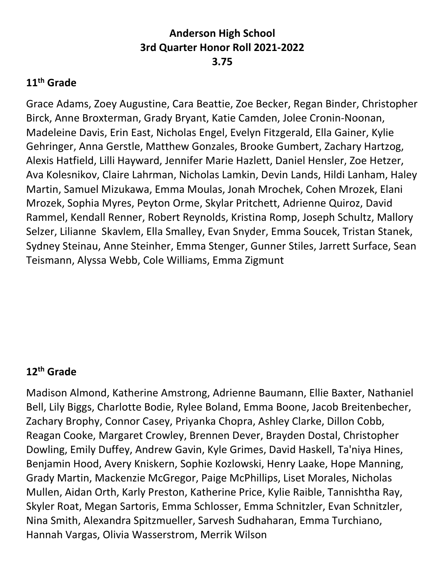## **11th Grade**

Grace Adams, Zoey Augustine, Cara Beattie, Zoe Becker, Regan Binder, Christopher Birck, Anne Broxterman, Grady Bryant, Katie Camden, Jolee Cronin-Noonan, Madeleine Davis, Erin East, Nicholas Engel, Evelyn Fitzgerald, Ella Gainer, Kylie Gehringer, Anna Gerstle, Matthew Gonzales, Brooke Gumbert, Zachary Hartzog, Alexis Hatfield, Lilli Hayward, Jennifer Marie Hazlett, Daniel Hensler, Zoe Hetzer, Ava Kolesnikov, Claire Lahrman, Nicholas Lamkin, Devin Lands, Hildi Lanham, Haley Martin, Samuel Mizukawa, Emma Moulas, Jonah Mrochek, Cohen Mrozek, Elani Mrozek, Sophia Myres, Peyton Orme, Skylar Pritchett, Adrienne Quiroz, David Rammel, Kendall Renner, Robert Reynolds, Kristina Romp, Joseph Schultz, Mallory Selzer, Lilianne Skavlem, Ella Smalley, Evan Snyder, Emma Soucek, Tristan Stanek, Sydney Steinau, Anne Steinher, Emma Stenger, Gunner Stiles, Jarrett Surface, Sean Teismann, Alyssa Webb, Cole Williams, Emma Zigmunt

## **12th Grade**

Madison Almond, Katherine Amstrong, Adrienne Baumann, Ellie Baxter, Nathaniel Bell, Lily Biggs, Charlotte Bodie, Rylee Boland, Emma Boone, Jacob Breitenbecher, Zachary Brophy, Connor Casey, Priyanka Chopra, Ashley Clarke, Dillon Cobb, Reagan Cooke, Margaret Crowley, Brennen Dever, Brayden Dostal, Christopher Dowling, Emily Duffey, Andrew Gavin, Kyle Grimes, David Haskell, Ta'niya Hines, Benjamin Hood, Avery Kniskern, Sophie Kozlowski, Henry Laake, Hope Manning, Grady Martin, Mackenzie McGregor, Paige McPhillips, Liset Morales, Nicholas Mullen, Aidan Orth, Karly Preston, Katherine Price, Kylie Raible, Tannishtha Ray, Skyler Roat, Megan Sartoris, Emma Schlosser, Emma Schnitzler, Evan Schnitzler, Nina Smith, Alexandra Spitzmueller, Sarvesh Sudhaharan, Emma Turchiano, Hannah Vargas, Olivia Wasserstrom, Merrik Wilson